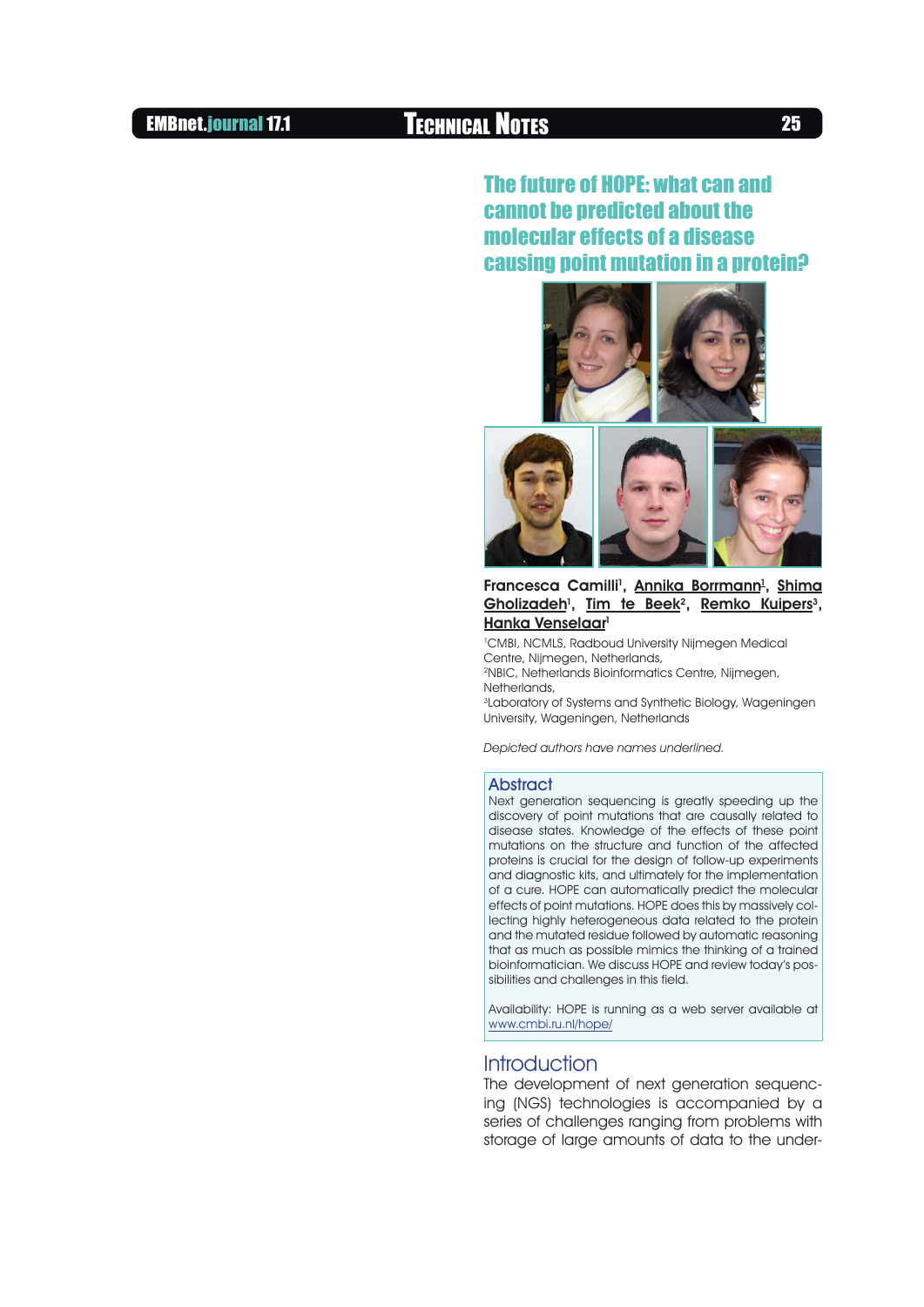## The future of HOPE: what can and cannot be predicted about the molecular effects of a disease causing point mutation in a protein?





#### Francesca Camilli<sup>1</sup>, <u>Annika Borrmann<sup>1</sup>, Shima</u> Gholizadeh<sup>1</sup>, Tim te Beek<sup>2</sup>, Remko Kuipers<sup>3</sup>, Hanka Venselaar<sup>1</sup>

1 CMBI, NCMLS, Radboud University Nijmegen Medical Centre, Nijmegen, Netherlands, 2NBIC, Netherlands Bioinformatics Centre, Nijmegen, Netherlands, 3Laboratory of Systems and Synthetic Biology, Wageningen

University, Wageningen, Netherlands

Depicted authors have names underlined.

#### **Abstract**

Next generation sequencing is greatly speeding up the discovery of point mutations that are causally related to disease states. Knowledge of the effects of these point mutations on the structure and function of the affected proteins is crucial for the design of follow-up experiments and diagnostic kits, and ultimately for the implementation of a cure. HOPE can automatically predict the molecular effects of point mutations. HOPE does this by massively collecting highly heterogeneous data related to the protein and the mutated residue followed by automatic reasoning that as much as possible mimics the thinking of a trained bioinformatician. We discuss HOPE and review today's possibilities and challenges in this field.

Availability: HOPE is running as a web server available at <www.cmbi.ru.nl/hope/>

## **Introduction**

The development of next generation sequencing (NGS) technologies is accompanied by a series of challenges ranging from problems with storage of large amounts of data to the under-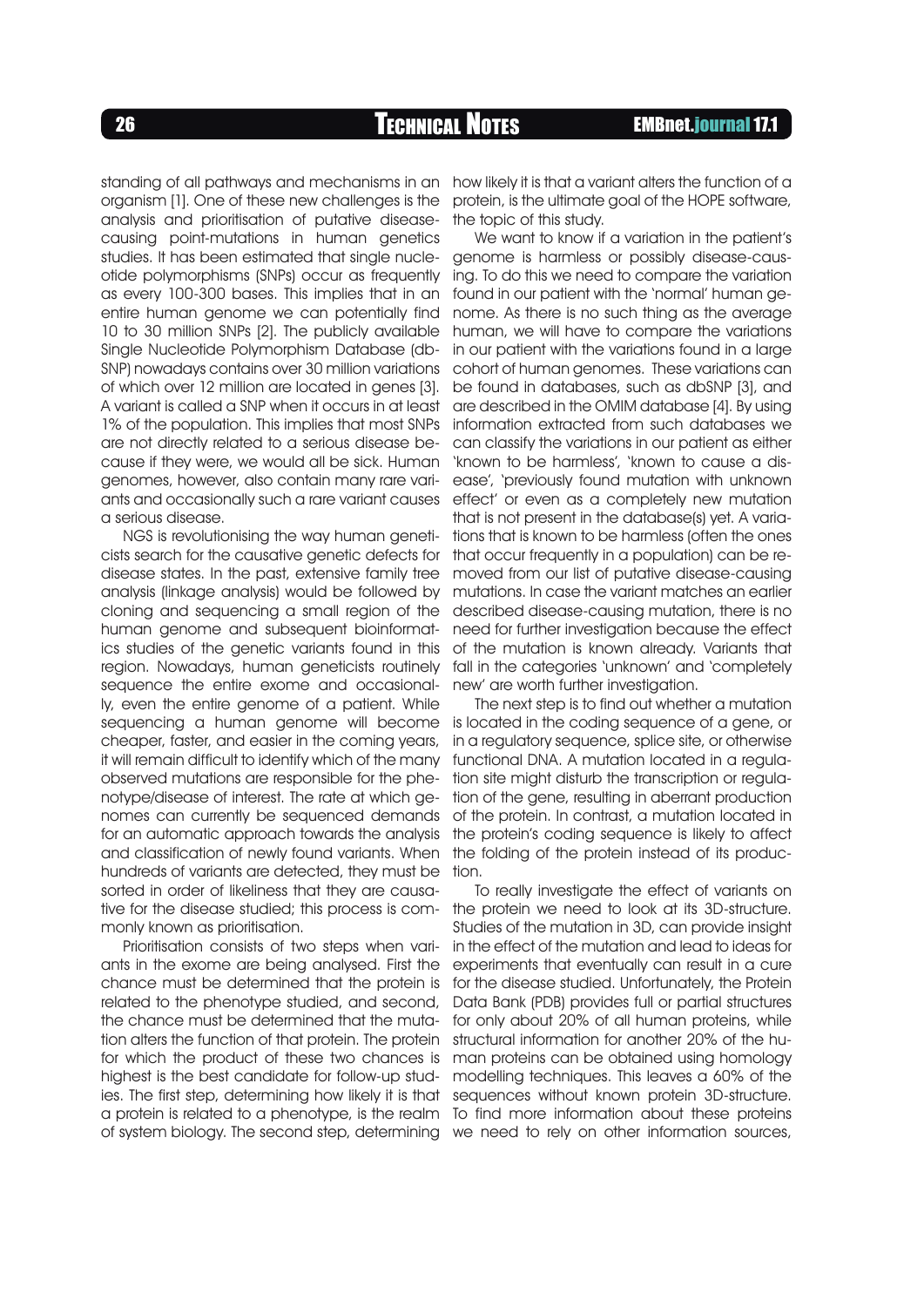standing of all pathways and mechanisms in an how likely it is that a variant alters the function of a organism [1]. One of these new challenges is the analysis and prioritisation of putative diseasecausing point-mutations in human genetics studies. It has been estimated that single nucleotide polymorphisms (SNPs) occur as frequently as every 100-300 bases. This implies that in an entire human genome we can potentially find 10 to 30 million SNPs [2]. The publicly available Single Nucleotide Polymorphism Database (db-SNP) nowadays contains over 30 million variations of which over 12 million are located in genes [3]. A variant is called a SNP when it occurs in at least 1% of the population. This implies that most SNPs are not directly related to a serious disease because if they were, we would all be sick. Human genomes, however, also contain many rare variants and occasionally such a rare variant causes a serious disease.

NGS is revolutionising the way human geneticists search for the causative genetic defects for disease states. In the past, extensive family tree analysis (linkage analysis) would be followed by cloning and sequencing a small region of the human genome and subsequent bioinformatics studies of the genetic variants found in this region. Nowadays, human geneticists routinely sequence the entire exome and occasionally, even the entire genome of a patient. While sequencing a human genome will become cheaper, faster, and easier in the coming years, it will remain difficult to identify which of the many observed mutations are responsible for the phenotype/disease of interest. The rate at which genomes can currently be sequenced demands for an automatic approach towards the analysis and classification of newly found variants. When hundreds of variants are detected, they must be sorted in order of likeliness that they are causative for the disease studied; this process is com-the protein we need to look at its 3D-structure. monly known as prioritisation.

Prioritisation consists of two steps when variants in the exome are being analysed. First the chance must be determined that the protein is related to the phenotype studied, and second, the chance must be determined that the mutation alters the function of that protein. The protein for which the product of these two chances is highest is the best candidate for follow-up studies. The first step, determining how likely it is that a protein is related to a phenotype, is the realm To find more information about these proteins of system biology. The second step, determining we need to rely on other information sources,

protein, is the ultimate goal of the HOPE software, the topic of this study.

We want to know if a variation in the patient's genome is harmless or possibly disease-causing. To do this we need to compare the variation found in our patient with the 'normal' human genome. As there is no such thing as the average human, we will have to compare the variations in our patient with the variations found in a large cohort of human genomes. These variations can be found in databases, such as dbSNP [3], and are described in the OMIM database [4]. By using information extracted from such databases we can classify the variations in our patient as either 'known to be harmless', 'known to cause a disease', 'previously found mutation with unknown effect' or even as a completely new mutation that is not present in the database(s) yet. A variations that is known to be harmless (often the ones that occur frequently in a population) can be removed from our list of putative disease-causing mutations. In case the variant matches an earlier described disease-causing mutation, there is no need for further investigation because the effect of the mutation is known already. Variants that fall in the categories 'unknown' and 'completely new' are worth further investigation.

The next step is to find out whether a mutation is located in the coding sequence of a gene, or in a regulatory sequence, splice site, or otherwise functional DNA. A mutation located in a regulation site might disturb the transcription or regulation of the gene, resulting in aberrant production of the protein. In contrast, a mutation located in the protein's coding sequence is likely to affect the folding of the protein instead of its production.

To really investigate the effect of variants on Studies of the mutation in 3D, can provide insight in the effect of the mutation and lead to ideas for experiments that eventually can result in a cure for the disease studied. Unfortunately, the Protein Data Bank (PDB) provides full or partial structures for only about 20% of all human proteins, while structural information for another 20% of the human proteins can be obtained using homology modelling techniques. This leaves a 60% of the sequences without known protein 3D-structure.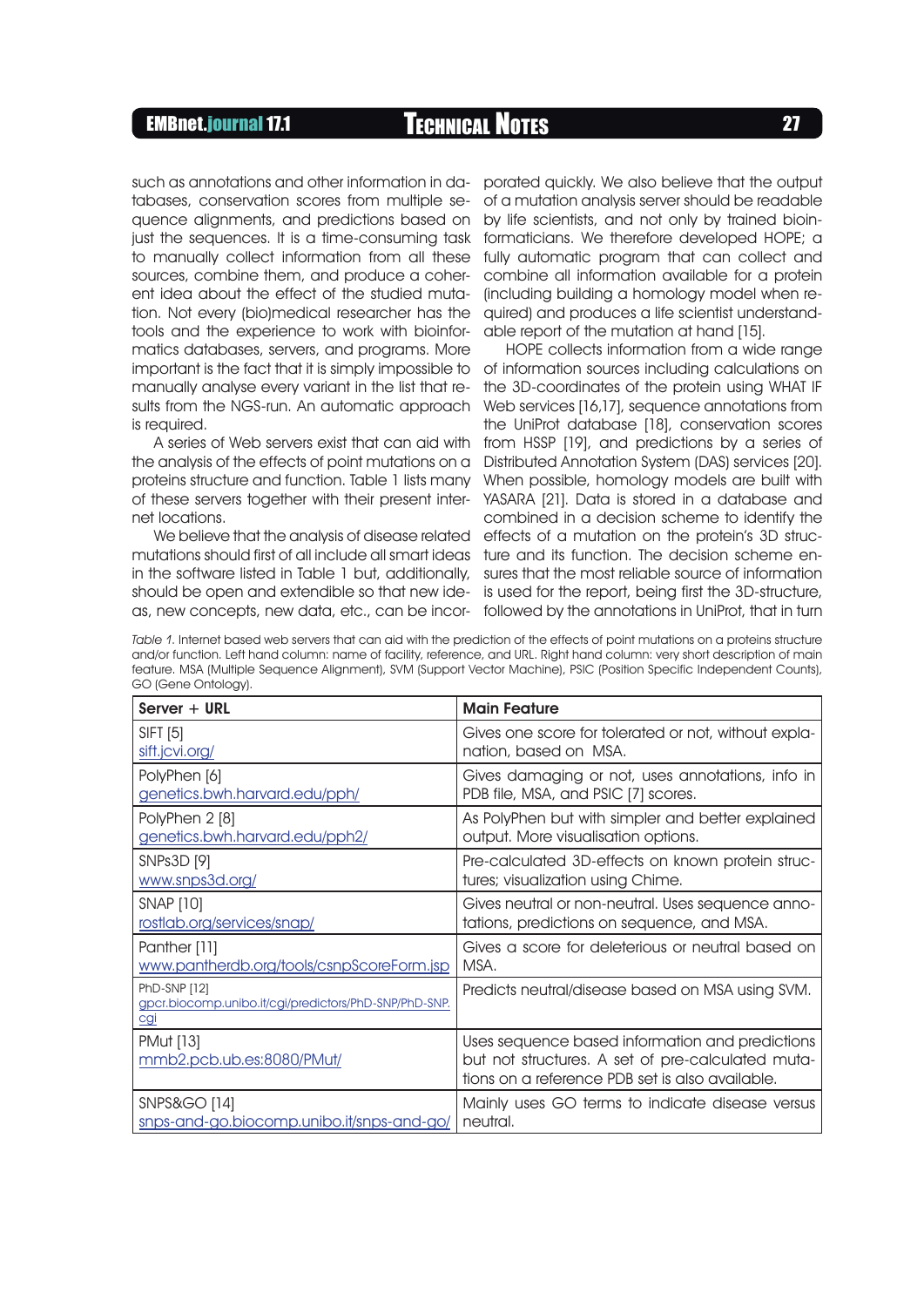tabases, conservation scores from multiple sequence alignments, and predictions based on just the sequences. It is a time-consuming task to manually collect information from all these sources, combine them, and produce a coherent idea about the effect of the studied mutation. Not every (bio)medical researcher has the tools and the experience to work with bioinformatics databases, servers, and programs. More manually analyse every variant in the list that results from the NGS-run. An automatic approach is required.

A series of Web servers exist that can aid with the analysis of the effects of point mutations on a proteins structure and function. Table 1 lists many of these servers together with their present internet locations.

as, new concepts, new data, etc., can be incor- followed by the annotations in UniProt, that in turn We believe that the analysis of disease related

such as annotations and other information in da- porated quickly. We also believe that the output of a mutation analysis server should be readable by life scientists, and not only by trained bioinformaticians. We therefore developed HOPE; a fully automatic program that can collect and combine all information available for a protein (including building a homology model when required) and produces a life scientist understandable report of the mutation at hand [15].

HOPE collects information from a wide range important is the fact that it is simply impossible to of information sources including calculations on the 3D-coordinates of the protein using WHAT IF Web services [16,17], sequence annotations from the UniProt database [18], conservation scores from HSSP [19], and predictions by a series of Distributed Annotation System (DAS) services [20]. When possible, homology models are built with YASARA [21]. Data is stored in a database and combined in a decision scheme to identify the effects of a mutation on the protein's 3D strucmutations should first of all include all smart ideas ture and its function. The decision scheme enin the software listed in Table 1 but, additionally, sures that the most reliable source of information should be open and extendible so that new ide- is used for the report, being first the 3D-structure,

Table 1. Internet based web servers that can aid with the prediction of the effects of point mutations on a proteins structure and/or function. Left hand column: name of facility, reference, and URL. Right hand column: very short description of main feature. MSA (Multiple Sequence Alignment), SVM (Support Vector Machine), PSIC (Position Specific Independent Counts), GO (Gene Ontology).

| $Server + URL$                                                                      | <b>Main Feature</b>                                                                                                                                     |
|-------------------------------------------------------------------------------------|---------------------------------------------------------------------------------------------------------------------------------------------------------|
| <b>SIFT [5]</b>                                                                     | Gives one score for tolerated or not, without expla-                                                                                                    |
| sift.jcvi.org/                                                                      | nation, based on MSA.                                                                                                                                   |
| PolyPhen [6]                                                                        | Gives damaging or not, uses annotations, info in                                                                                                        |
| genetics.bwh.harvard.edu/pph/                                                       | PDB file, MSA, and PSIC [7] scores.                                                                                                                     |
| PolyPhen 2 [8]                                                                      | As PolyPhen but with simpler and better explained                                                                                                       |
| genetics.bwh.harvard.edu/pph2/                                                      | output. More visualisation options.                                                                                                                     |
| SNPs3D [9]                                                                          | Pre-calculated 3D-effects on known protein struc-                                                                                                       |
| www.snps3d.org/                                                                     | tures; visualization using Chime.                                                                                                                       |
| <b>SNAP [10]</b>                                                                    | Gives neutral or non-neutral. Uses sequence anno-                                                                                                       |
| rostlab.org/services/snap/                                                          | tations, predictions on sequence, and MSA.                                                                                                              |
| Panther [11]                                                                        | Gives a score for deleterious or neutral based on                                                                                                       |
| www.pantherdb.org/tools/csnpScoreForm.jsp                                           | MSA.                                                                                                                                                    |
| PhD-SNP [12]<br>gpcr.biocomp.unibo.it/cgi/predictors/PhD-SNP/PhD-SNP.<br><u>cgi</u> | Predicts neutral/disease based on MSA using SVM.                                                                                                        |
| <b>PMut</b> [13]<br>mmb2.pcb.ub.es:8080/PMut/                                       | Uses sequence based information and predictions<br>but not structures. A set of pre-calculated muta-<br>tions on a reference PDB set is also available. |
| <b>SNPS&amp;GO [14]</b>                                                             | Mainly uses GO terms to indicate disease versus                                                                                                         |
| snps-and-go.biocomp.unibo.it/snps-and-go/                                           | neutral.                                                                                                                                                |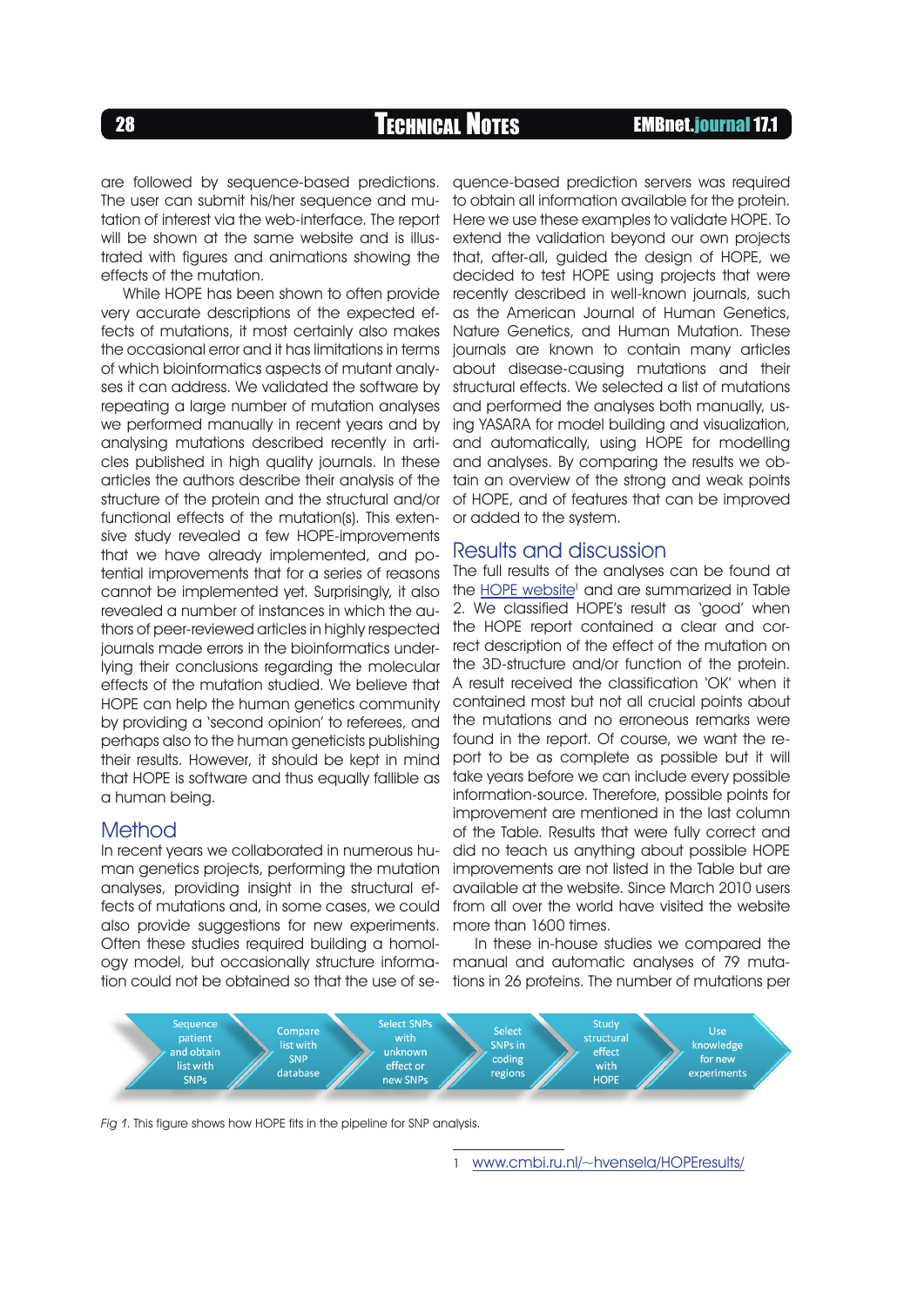are followed by sequence-based predictions. The user can submit his/her sequence and mutation of interest via the web-interface. The report will be shown at the same website and is illustrated with figures and animations showing the effects of the mutation.

While HOPE has been shown to often provide very accurate descriptions of the expected effects of mutations, it most certainly also makes the occasional error and it has limitations in terms of which bioinformatics aspects of mutant analyses it can address. We validated the software by repeating a large number of mutation analyses we performed manually in recent years and by analysing mutations described recently in articles published in high quality journals. In these articles the authors describe their analysis of the structure of the protein and the structural and/or functional effects of the mutation(s). This extensive study revealed a few HOPE-improvements that we have already implemented, and potential improvements that for a series of reasons cannot be implemented yet. Surprisingly, it also revealed a number of instances in which the authors of peer-reviewed articles in highly respected journals made errors in the bioinformatics underlying their conclusions regarding the molecular effects of the mutation studied. We believe that HOPE can help the human genetics community by providing a 'second opinion' to referees, and perhaps also to the human geneticists publishing their results. However, it should be kept in mind that HOPE is software and thus equally fallible as a human being.

### Method

ogy model, but occasionally structure informa- manual and automatic analyses of 79 mutation could not be obtained so that the use of se- tions in 26 proteins. The number of mutations per In recent years we collaborated in numerous human genetics projects, performing the mutation analyses, providing insight in the structural effects of mutations and, in some cases, we could also provide suggestions for new experiments. Often these studies required building a homol-

quence-based prediction servers was required to obtain all information available for the protein. Here we use these examples to validate HOPE. To extend the validation beyond our own projects that, after-all, guided the design of HOPE, we decided to test HOPE using projects that were recently described in well-known journals, such as the American Journal of Human Genetics, Nature Genetics, and Human Mutation. These journals are known to contain many articles about disease-causing mutations and their structural effects. We selected a list of mutations and performed the analyses both manually, using YASARA for model building and visualization, and automatically, using HOPE for modelling and analyses. By comparing the results we obtain an overview of the strong and weak points of HOPE, and of features that can be improved or added to the system.

### Results and discussion

The full results of the analyses can be found at the **HOPE** website<sup>1</sup> and are summarized in Table 2. We classified HOPE's result as 'good' when the HOPE report contained a clear and correct description of the effect of the mutation on the 3D-structure and/or function of the protein. A result received the classification 'OK' when it contained most but not all crucial points about the mutations and no erroneous remarks were found in the report. Of course, we want the report to be as complete as possible but it will take years before we can include every possible information-source. Therefore, possible points for improvement are mentioned in the last column of the Table. Results that were fully correct and did no teach us anything about possible HOPE improvements are not listed in the Table but are available at the website. Since March 2010 users from all over the world have visited the website more than 1600 times.

In these in-house studies we compared the



Fig 1. This figure shows how HOPE fits in the pipeline for SNP analysis.

<www.cmbi.ru.nl/~hvensela/HOPEresults/>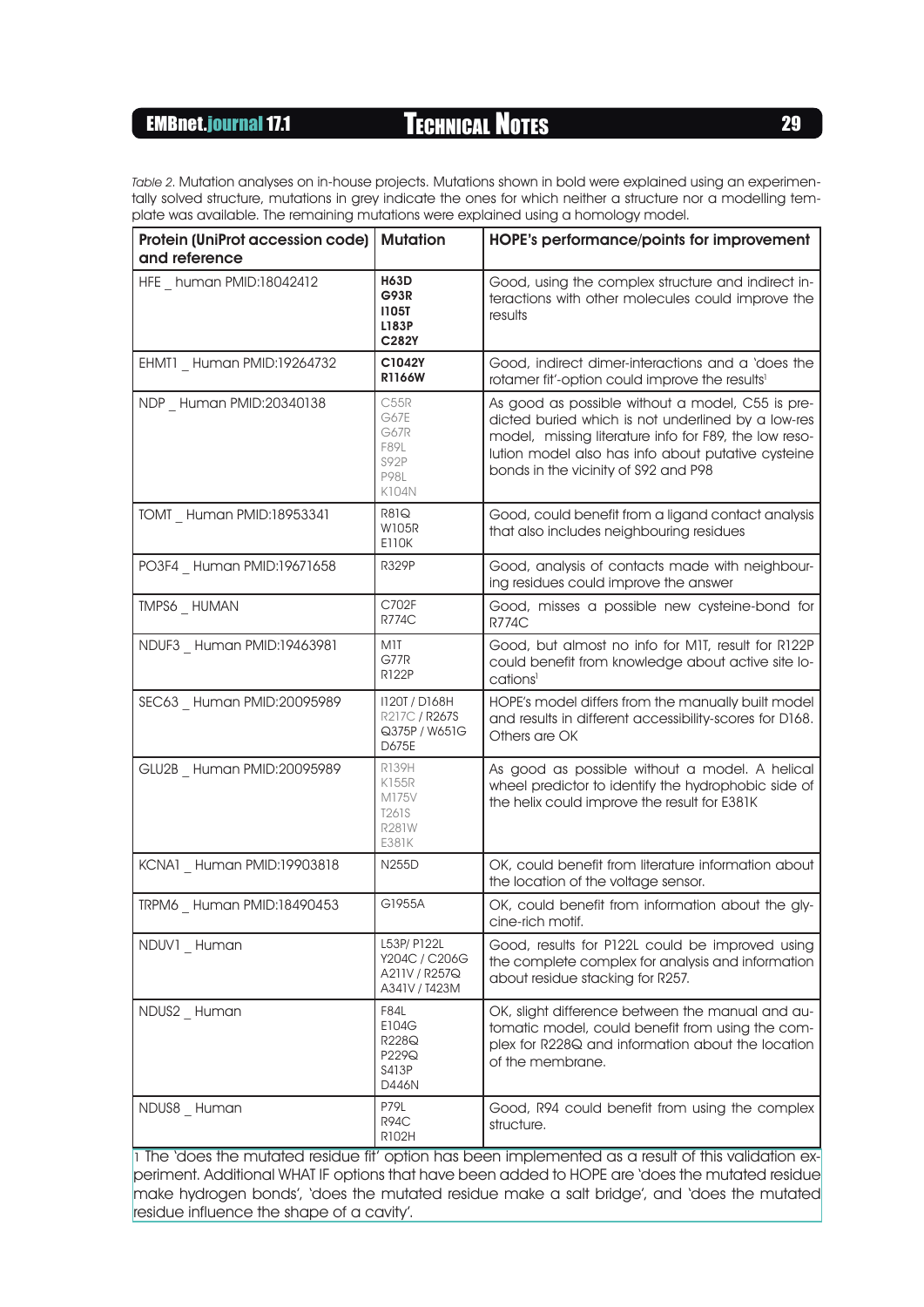Table 2. Mutation analyses on in-house projects. Mutations shown in bold were explained using an experimentally solved structure, mutations in grey indicate the ones for which neither a structure nor a modelling template was available. The remaining mutations were explained using a homology model.

| <b>Protein (UniProt accession code)</b><br>and reference | <b>Mutation</b>                                                | HOPE's performance/points for improvement                                                                                                                                                                                                                     |
|----------------------------------------------------------|----------------------------------------------------------------|---------------------------------------------------------------------------------------------------------------------------------------------------------------------------------------------------------------------------------------------------------------|
| HFE human PMID:18042412                                  | <b>H63D</b><br><b>G93R</b><br><b>I105T</b><br>L183P<br>C282Y   | Good, using the complex structure and indirect in-<br>teractions with other molecules could improve the<br>results                                                                                                                                            |
| EHMT1 _ Human PMID:19264732                              | C1042Y<br><b>R1166W</b>                                        | Good, indirect dimer-interactions and a 'does the<br>rotamer fit'-option could improve the results <sup>1</sup>                                                                                                                                               |
| NDP Human PMID:20340138                                  | C55R<br>G67E<br>G67R<br>F89L<br>S92P<br><b>P98L</b><br>K104N   | As good as possible without a model, C55 is pre-<br>dicted buried which is not underlined by a low-res<br>model, missing literature info for F89, the low reso-<br>lution model also has info about putative cysteine<br>bonds in the vicinity of S92 and P98 |
| TOMT Human PMID:18953341                                 | R81Q<br>W105R<br><b>E110K</b>                                  | Good, could benefit from a ligand contact analysis<br>that also includes neighbouring residues                                                                                                                                                                |
| PO3F4 _ Human PMID:19671658                              | <b>R329P</b>                                                   | Good, analysis of contacts made with neighbour-<br>ing residues could improve the answer                                                                                                                                                                      |
| TMPS6 _ HUMAN                                            | C702F<br><b>R774C</b>                                          | Good, misses a possible new cysteine-bond for<br><b>R774C</b>                                                                                                                                                                                                 |
| NDUF3 Human PMID:19463981                                | <b>M1T</b><br>G77R<br><b>R122P</b>                             | Good, but almost no info for M1T, result for R122P<br>could benefit from knowledge about active site lo-<br>cations <sup>1</sup>                                                                                                                              |
| SEC63 _ Human PMID:20095989                              | 1120T / D168H<br>R217C / R267S<br>Q375P / W651G<br>D675E       | HOPE's model differs from the manually built model<br>and results in different accessibility-scores for D168.<br>Others are OK                                                                                                                                |
| GLU2B _ Human PMID:20095989                              | R139H<br>K155R<br>M175V<br>T261S<br>R281W<br>E381K             | As good as possible without a model. A helical<br>wheel predictor to identify the hydrophobic side of<br>the helix could improve the result for E381K                                                                                                         |
| KCNA1 Human PMID:19903818                                | N255D                                                          | OK, could benefit from literature information about<br>the location of the voltage sensor.                                                                                                                                                                    |
| TRPM6 _ Human PMID:18490453                              | G1955A                                                         | OK, could benefit from information about the gly-<br>cine-rich motif.                                                                                                                                                                                         |
| NDUV1 Human                                              | L53P/ P122L<br>Y204C / C206G<br>A211V / R257Q<br>A341V / T423M | Good, results for P122L could be improved using<br>the complete complex for analysis and information<br>about residue stacking for R257.                                                                                                                      |
| NDUS2 _ Human                                            | F84L<br>E104G<br>R228Q<br>P229Q<br>S413P<br>D446N              | OK, slight difference between the manual and au-<br>tomatic model, could benefit from using the com-<br>plex for R228Q and information about the location<br>of the membrane.                                                                                 |
| NDUS8 Human                                              | P79L<br>R94C<br>R102H                                          | Good, R94 could benefit from using the complex<br>structure.                                                                                                                                                                                                  |

1 The 'does the mutated residue fit' option has been implemented as a result of this validation experiment. Additional WHAT IF options that have been added to HOPE are 'does the mutated residue make hydrogen bonds', 'does the mutated residue make a salt bridge', and 'does the mutated residue influence the shape of a cavity'.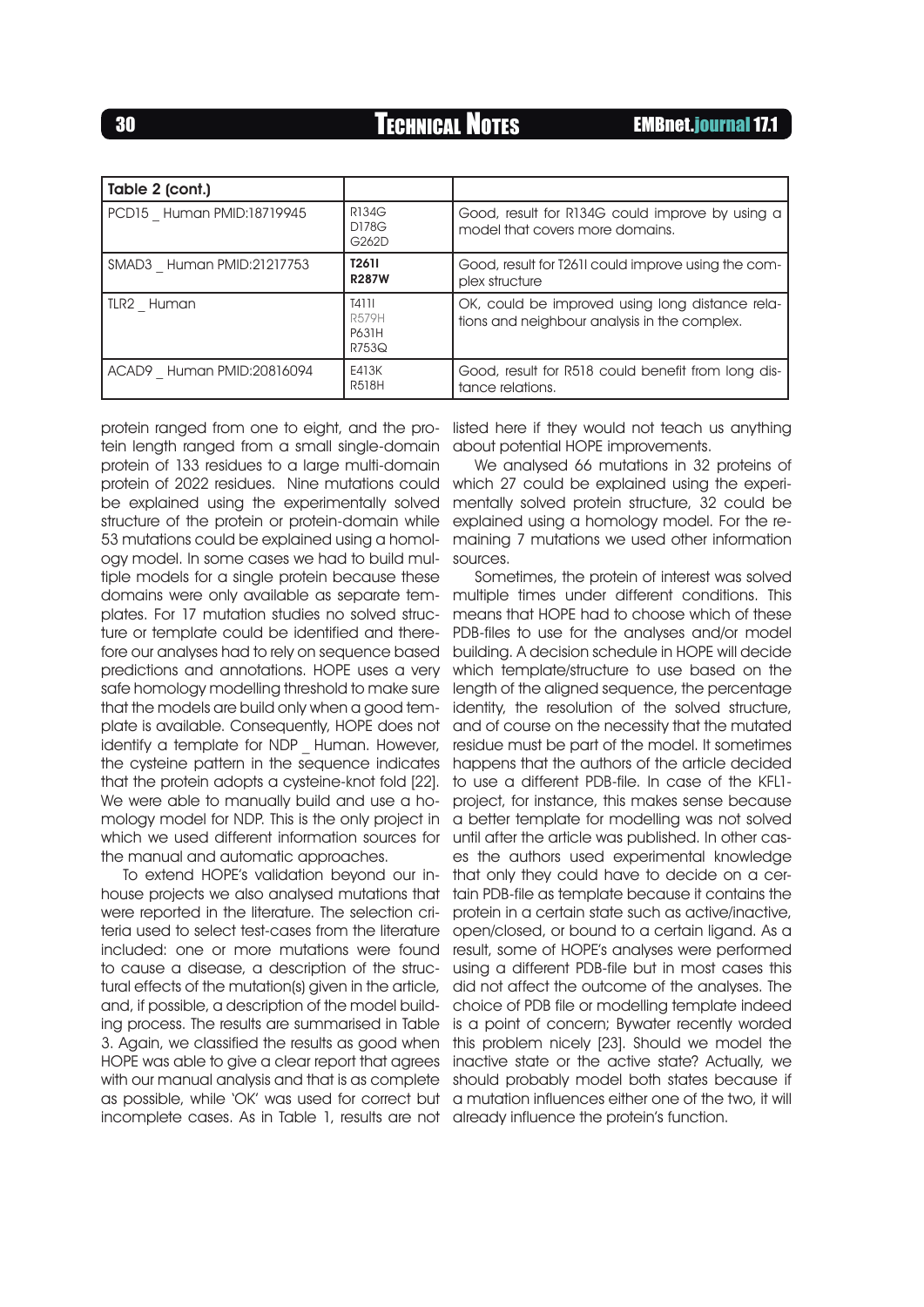| Table 2 (cont.)           |                                                |                                                                                                 |
|---------------------------|------------------------------------------------|-------------------------------------------------------------------------------------------------|
| PCD15 Human PMID:18719945 | <b>R134G</b><br>D178G<br>G262D                 | Good, result for R134G could improve by using a<br>model that covers more domains.              |
| SMAD3 Human PMID:21217753 | <b>T2611</b><br><b>R287W</b>                   | Good, result for T2611 could improve using the com-<br>plex structure                           |
| ILR2 Human                | <b>T4111</b><br><b>R579H</b><br>P631H<br>R753Q | OK, could be improved using long distance rela-<br>tions and neighbour analysis in the complex. |
| ACAD9 Human PMID:20816094 | E413K<br><b>R518H</b>                          | Good, result for R518 could benefit from long dis-<br>tance relations.                          |

protein ranged from one to eight, and the protein length ranged from a small single-domain protein of 133 residues to a large multi-domain protein of 2022 residues. Nine mutations could be explained using the experimentally solved structure of the protein or protein-domain while 53 mutations could be explained using a homology model. In some cases we had to build multiple models for a single protein because these domains were only available as separate templates. For 17 mutation studies no solved structure or template could be identified and therefore our analyses had to rely on sequence based predictions and annotations. HOPE uses a very safe homology modelling threshold to make sure that the models are build only when a good template is available. Consequently, HOPE does not identify a template for NDP Human. However, the cysteine pattern in the sequence indicates that the protein adopts a cysteine-knot fold [22]. We were able to manually build and use a homology model for NDP. This is the only project in which we used different information sources for the manual and automatic approaches.

To extend HOPE's validation beyond our inhouse projects we also analysed mutations that were reported in the literature. The selection criteria used to select test-cases from the literature included: one or more mutations were found to cause a disease, a description of the structural effects of the mutation(s) given in the article, and, if possible, a description of the model building process. The results are summarised in Table 3. Again, we classified the results as good when HOPE was able to give a clear report that agrees with our manual analysis and that is as complete should probably model both states because if as possible, while 'OK' was used for correct but a mutation influences either one of the two, it will incomplete cases. As in Table 1, results are not already influence the protein's function.

listed here if they would not teach us anything about potential HOPE improvements.

We analysed 66 mutations in 32 proteins of which 27 could be explained using the experimentally solved protein structure, 32 could be explained using a homology model. For the remaining 7 mutations we used other information sources.

Sometimes, the protein of interest was solved multiple times under different conditions. This means that HOPE had to choose which of these PDB-files to use for the analyses and/or model building. A decision schedule in HOPE will decide which template/structure to use based on the length of the aligned sequence, the percentage identity, the resolution of the solved structure, and of course on the necessity that the mutated residue must be part of the model. It sometimes happens that the authors of the article decided to use a different PDB-file. In case of the KFL1 project, for instance, this makes sense because a better template for modelling was not solved until after the article was published. In other cases the authors used experimental knowledge that only they could have to decide on a certain PDB-file as template because it contains the protein in a certain state such as active/inactive, open/closed, or bound to a certain ligand. As a result, some of HOPE's analyses were performed using a different PDB-file but in most cases this did not affect the outcome of the analyses. The choice of PDB file or modelling template indeed is a point of concern; Bywater recently worded this problem nicely [23]. Should we model the inactive state or the active state? Actually, we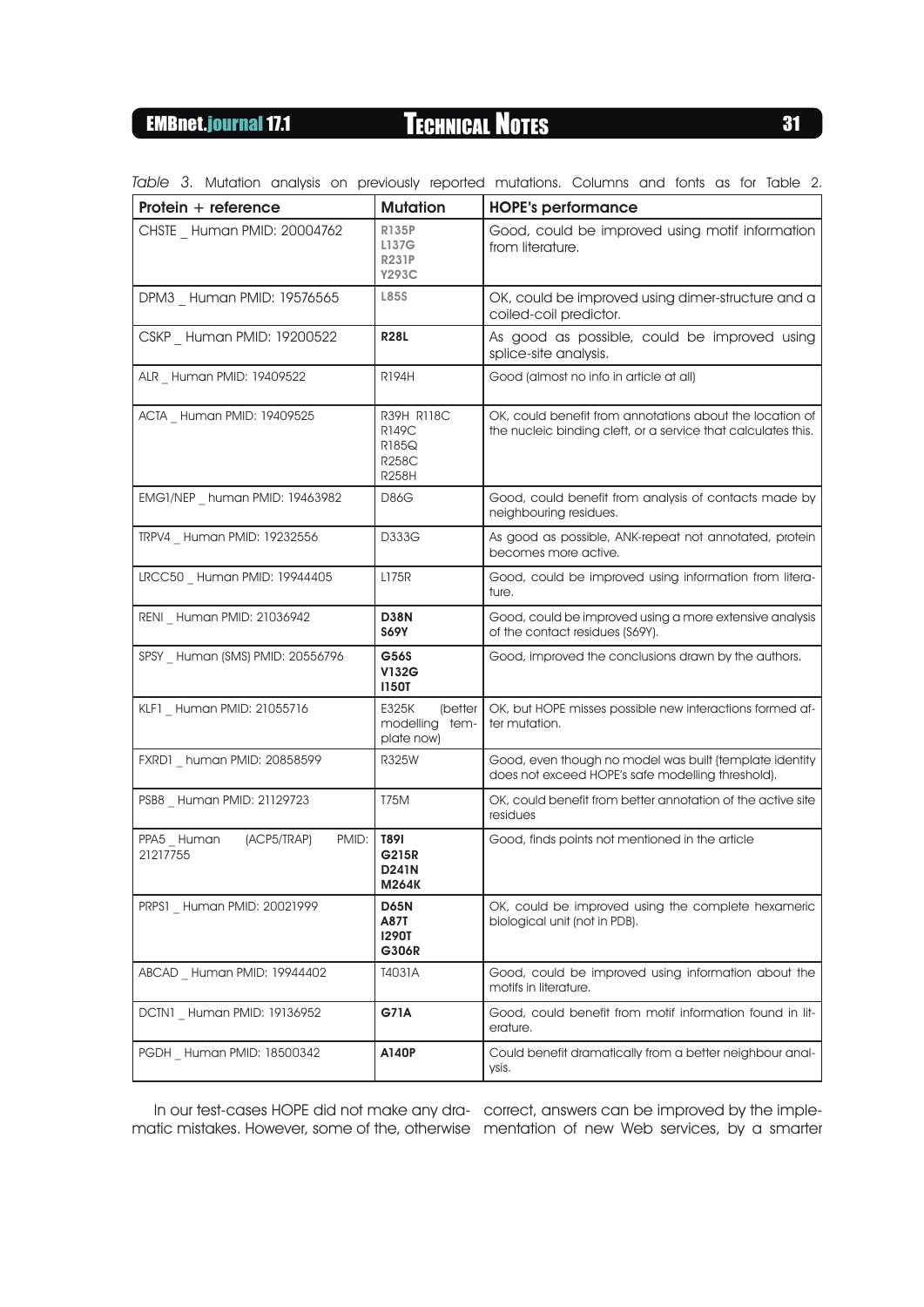| Protein $+$ reference                          | <b>Mutation</b>                                                     | <b>HOPE's performance</b>                                                                                                 |
|------------------------------------------------|---------------------------------------------------------------------|---------------------------------------------------------------------------------------------------------------------------|
| CHSTE Human PMID: 20004762                     | <b>R135P</b><br>L137G<br><b>R231P</b><br>Y293C                      | Good, could be improved using motif information<br>from literature.                                                       |
| DPM3 Human PMID: 19576565                      | <b>L85S</b>                                                         | OK, could be improved using dimer-structure and a<br>coiled-coil predictor.                                               |
| CSKP Human PMID: 19200522                      | <b>R28L</b>                                                         | As good as possible, could be improved using<br>splice-site analysis.                                                     |
| ALR Human PMID: 19409522                       | <b>R194H</b>                                                        | Good (almost no info in article at all)                                                                                   |
| ACTA Human PMID: 19409525                      | R39H R118C<br><b>R149C</b><br>R185Q<br><b>R258C</b><br><b>R258H</b> | OK, could benefit from annotations about the location of<br>the nucleic binding cleft, or a service that calculates this. |
| EMG1/NEP human PMID: 19463982                  | D86G                                                                | Good, could benefit from analysis of contacts made by<br>neighbouring residues.                                           |
| TRPV4 Human PMID: 19232556                     | D333G                                                               | As good as possible, ANK-repeat not annotated, protein<br>becomes more active.                                            |
| LRCC50 Human PMID: 19944405                    | <b>L175R</b>                                                        | Good, could be improved using information from litera-<br>ture.                                                           |
| RENI Human PMID: 21036942                      | <b>D38N</b><br><b>S69Y</b>                                          | Good, could be improved using a more extensive analysis<br>of the contact residues (S69Y).                                |
| SPSY Human (SMS) PMID: 20556796                | G56S<br><b>V132G</b><br><b>1150T</b>                                | Good, improved the conclusions drawn by the authors.                                                                      |
| KLF1 Human PMID: 21055716                      | E325K<br>(better<br>modelling<br>tem-<br>plate now)                 | OK, but HOPE misses possible new interactions formed af-<br>ter mutation.                                                 |
| FXRD1 human PMID: 20858599                     | <b>R325W</b>                                                        | Good, even though no model was built (template identity<br>does not exceed HOPE's safe modelling threshold).              |
| PSB8 Human PMID: 21129723                      | <b>T75M</b>                                                         | OK, could benefit from better annotation of the active site<br>residues                                                   |
| (ACP5/TRAP)<br>PMID:<br>PPA5 Human<br>21217755 | <b>T891</b><br>G215R<br><b>D241N</b><br><b>M264K</b>                | Good, finds points not mentioned in the article                                                                           |
| PRPS1 Human PMID: 20021999                     | <b>D65N</b><br>A87T<br><b>1290T</b><br>G306R                        | OK, could be improved using the complete hexameric<br>biological unit (not in PDB).                                       |
| ABCAD Human PMID: 19944402                     | T4031A                                                              | Good, could be improved using information about the<br>motifs in literature.                                              |
| DCTN1 Human PMID: 19136952                     | G71A                                                                | Good, could benefit from motif information found in lit-<br>erature.                                                      |
| PGDH Human PMID: 18500342                      | A140P                                                               | Could benefit dramatically from a better neighbour anal-<br>ysis.                                                         |

Table 3. Mutation analysis on previously reported mutations. Columns and fonts as for Table 2.

In our test-cases HOPE did not make any dra-correct, answers can be improved by the implematic mistakes. However, some of the, otherwise mentation of new Web services, by a smarter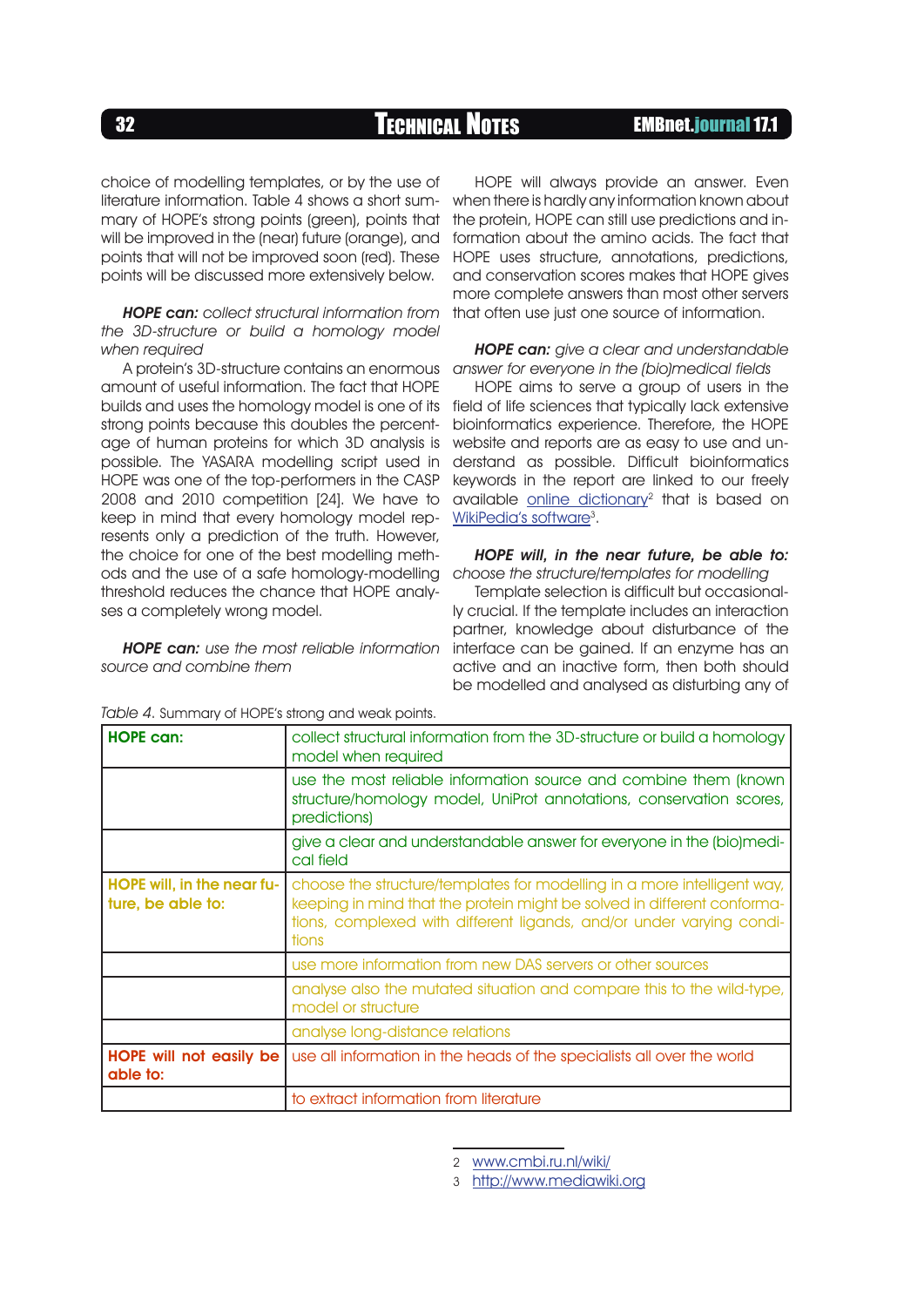choice of modelling templates, or by the use of literature information. Table 4 shows a short summary of HOPE's strong points (green), points that will be improved in the (near) future (orange), and points that will not be improved soon (red). These points will be discussed more extensively below.

**HOPE can:** collect structural information from the 3D-structure or build a homology model when required

A protein's 3D-structure contains an enormous amount of useful information. The fact that HOPE builds and uses the homology model is one of its strong points because this doubles the percentage of human proteins for which 3D analysis is possible. The YASARA modelling script used in HOPE was one of the top-performers in the CASP 2008 and 2010 competition [24]. We have to keep in mind that every homology model represents only a prediction of the truth. However, the choice for one of the best modelling methods and the use of a safe homology-modelling threshold reduces the chance that HOPE analyses a completely wrong model.

**HOPE can:** use the most reliable information source and combine them

HOPE will always provide an answer. Even when there is hardly any information known about the protein, HOPE can still use predictions and information about the amino acids. The fact that HOPE uses structure, annotations, predictions, and conservation scores makes that HOPE gives more complete answers than most other servers that often use just one source of information.

#### **HOPE can:** give a clear and understandable answer for everyone in the (bio)medical fields

HOPE aims to serve a group of users in the field of life sciences that typically lack extensive bioinformatics experience. Therefore, the HOPE website and reports are as easy to use and understand as possible. Difficult bioinformatics keywords in the report are linked to our freely available online dictionary<sup>2</sup> that is based on [WikiPedia's software](http://www.mediawiki.org)<sup>3</sup>.

#### HOPE will, in the near future, be able to: choose the structure/templates for modelling

Template selection is difficult but occasionally crucial. If the template includes an interaction partner, knowledge about disturbance of the interface can be gained. If an enzyme has an active and an inactive form, then both should be modelled and analysed as disturbing any of

| <b>HOPE can:</b>                                | collect structural information from the 3D-structure or build a homology<br>model when required                                                                                                                                     |
|-------------------------------------------------|-------------------------------------------------------------------------------------------------------------------------------------------------------------------------------------------------------------------------------------|
|                                                 | use the most reliable information source and combine them (known<br>structure/homology model, UniProt annotations, conservation scores,<br>predictions)                                                                             |
|                                                 | give a clear and understandable answer for everyone in the (bio)medi-<br>cal field                                                                                                                                                  |
| HOPE will, in the near fu-<br>ture, be able to: | choose the structure/templates for modelling in a more intelligent way,<br>keeping in mind that the protein might be solved in different conforma-<br>tions, complexed with different ligands, and/or under varying condi-<br>tions |
|                                                 | use more information from new DAS servers or other sources                                                                                                                                                                          |
|                                                 | analyse also the mutated situation and compare this to the wild-type,<br>model or structure                                                                                                                                         |
|                                                 | analyse long-distance relations                                                                                                                                                                                                     |
| <b>HOPE</b> will not easily be<br>able to:      | use all information in the heads of the specialists all over the world                                                                                                                                                              |
|                                                 | to extract information from literature                                                                                                                                                                                              |

Table 4. Summary of HOPE's strong and weak points.

<sup>2</sup> <www.cmbi.ru.nl/wiki/>

<sup>3</sup> <http://www.mediawiki.org>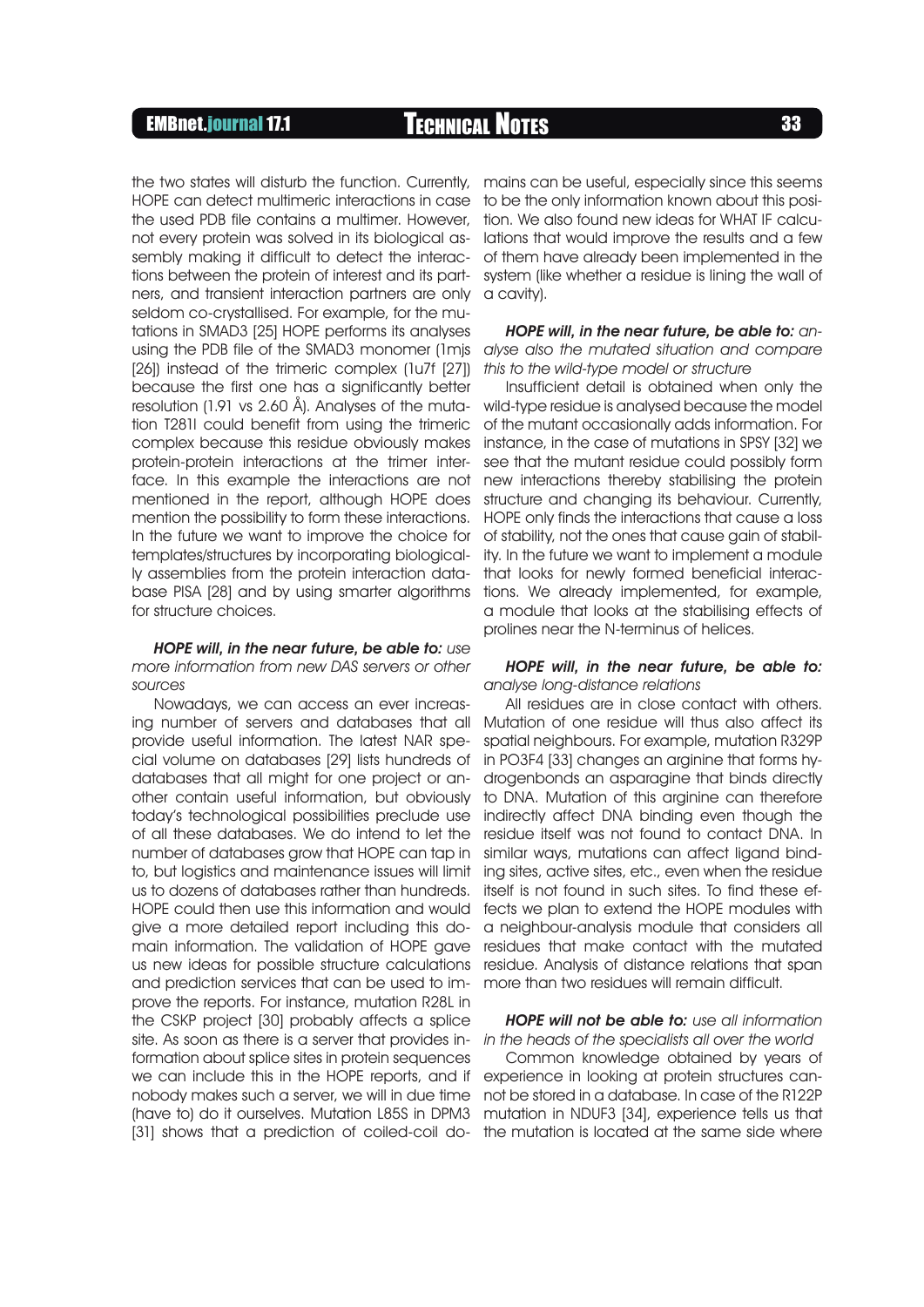EMBnet.journal 17.1 Technical Notes <sup>33</sup>

HOPE can detect multimeric interactions in case the used PDB file contains a multimer. However, not every protein was solved in its biological assembly making it difficult to detect the interactions between the protein of interest and its partners, and transient interaction partners are only seldom co-crystallised. For example, for the mutations in SMAD3 [25] HOPE performs its analyses using the PDB file of the SMAD3 monomer (1mjs [26]) instead of the trimeric complex (1u7f [27]) because the first one has a significantly better resolution (1.91 vs 2.60 Å). Analyses of the mutation T281I could benefit from using the trimeric complex because this residue obviously makes protein-protein interactions at the trimer interface. In this example the interactions are not mentioned in the report, although HOPE does mention the possibility to form these interactions. In the future we want to improve the choice for templates/structures by incorporating biologically assemblies from the protein interaction database PISA [28] and by using smarter algorithms for structure choices.

**HOPE will, in the near future, be able to:** use more information from new DAS servers or other sources

Nowadays, we can access an ever increasing number of servers and databases that all provide useful information. The latest NAR special volume on databases [29] lists hundreds of databases that all might for one project or another contain useful information, but obviously today's technological possibilities preclude use of all these databases. We do intend to let the number of databases grow that HOPE can tap in to, but logistics and maintenance issues will limit us to dozens of databases rather than hundreds. HOPE could then use this information and would give a more detailed report including this domain information. The validation of HOPE gave us new ideas for possible structure calculations and prediction services that can be used to improve the reports. For instance, mutation R28L in the CSKP project [30] probably affects a splice site. As soon as there is a server that provides information about splice sites in protein sequences we can include this in the HOPE reports, and if nobody makes such a server, we will in due time (have to) do it ourselves. Mutation L85S in DPM3

the two states will disturb the function. Currently, mains can be useful, especially since this seems to be the only information known about this position. We also found new ideas for WHAT IF calculations that would improve the results and a few of them have already been implemented in the system (like whether a residue is lining the wall of a cavity).

> HOPE will, in the near future, be able to: analyse also the mutated situation and compare this to the wild-type model or structure

> Insufficient detail is obtained when only the wild-type residue is analysed because the model of the mutant occasionally adds information. For instance, in the case of mutations in SPSY [32] we see that the mutant residue could possibly form new interactions thereby stabilising the protein structure and changing its behaviour. Currently, HOPE only finds the interactions that cause a loss of stability, not the ones that cause gain of stability. In the future we want to implement a module that looks for newly formed beneficial interactions. We already implemented, for example, a module that looks at the stabilising effects of prolines near the N-terminus of helices.

#### HOPE will, in the near future, be able to: analyse long-distance relations

All residues are in close contact with others. Mutation of one residue will thus also affect its spatial neighbours. For example, mutation R329P in PO3F4 [33] changes an arginine that forms hydrogenbonds an asparagine that binds directly to DNA. Mutation of this arginine can therefore indirectly affect DNA binding even though the residue itself was not found to contact DNA. In similar ways, mutations can affect ligand binding sites, active sites, etc., even when the residue itself is not found in such sites. To find these effects we plan to extend the HOPE modules with a neighbour-analysis module that considers all residues that make contact with the mutated residue. Analysis of distance relations that span more than two residues will remain difficult.

### **HOPE will not be able to:** use all information in the heads of the specialists all over the world

[31] shows that a prediction of coiled-coil do-the mutation is located at the same side where Common knowledge obtained by years of experience in looking at protein structures cannot be stored in a database. In case of the R122P mutation in NDUF3 [34], experience tells us that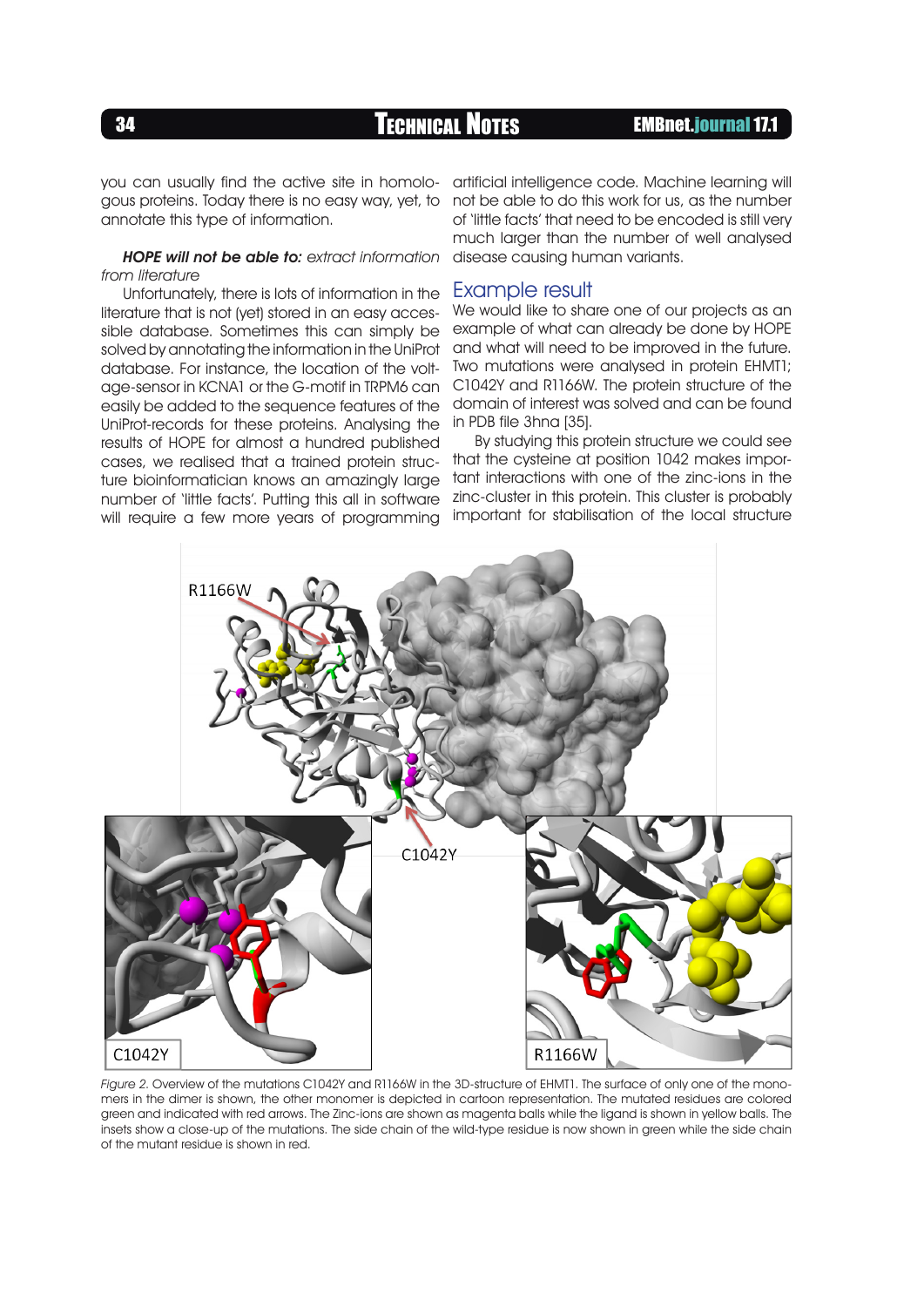**34 TECHNICAL NOTES EMBnet.journal 17.1** 

you can usually find the active site in homologous proteins. Today there is no easy way, yet, to annotate this type of information.

### HOPE will not be able to: extract information from literature

Unfortunately, there is lots of information in the literature that is not (yet) stored in an easy accessible database. Sometimes this can simply be solved by annotating the information in the UniProt database. For instance, the location of the voltage-sensor in KCNA1 or the G-motif in TRPM6 can easily be added to the sequence features of the UniProt-records for these proteins. Analysing the results of HOPE for almost a hundred published cases, we realised that a trained protein structure bioinformatician knows an amazinaly large number of 'little facts'. Putting this all in software will require a few more years of programming

artificial intelligence code. Machine learning will not be able to do this work for us, as the number of 'little facts' that need to be encoded is still very much larger than the number of well analysed disease causing human variants.

### Example result

We would like to share one of our projects as an example of what can already be done by HOPE and what will need to be improved in the future. Two mutations were analysed in protein EHMT1; C1042Y and R1166W. The protein structure of the domain of interest was solved and can be found in PDB file 3hna [35].

By studying this protein structure we could see that the cysteine at position 1042 makes important interactions with one of the zinc-ions in the zinc-cluster in this protein. This cluster is probably important for stabilisation of the local structure



Figure 2. Overview of the mutations C1042Y and R1166W in the 3D-structure of EHMT1. The surface of only one of the monomers in the dimer is shown, the other monomer is depicted in cartoon representation. The mutated residues are colored green and indicated with red arrows. The Zinc-ions are shown as magenta balls while the ligand is shown in yellow balls. The insets show a close-up of the mutations. The side chain of the wild-type residue is now shown in green while the side chain of the mutant residue is shown in red.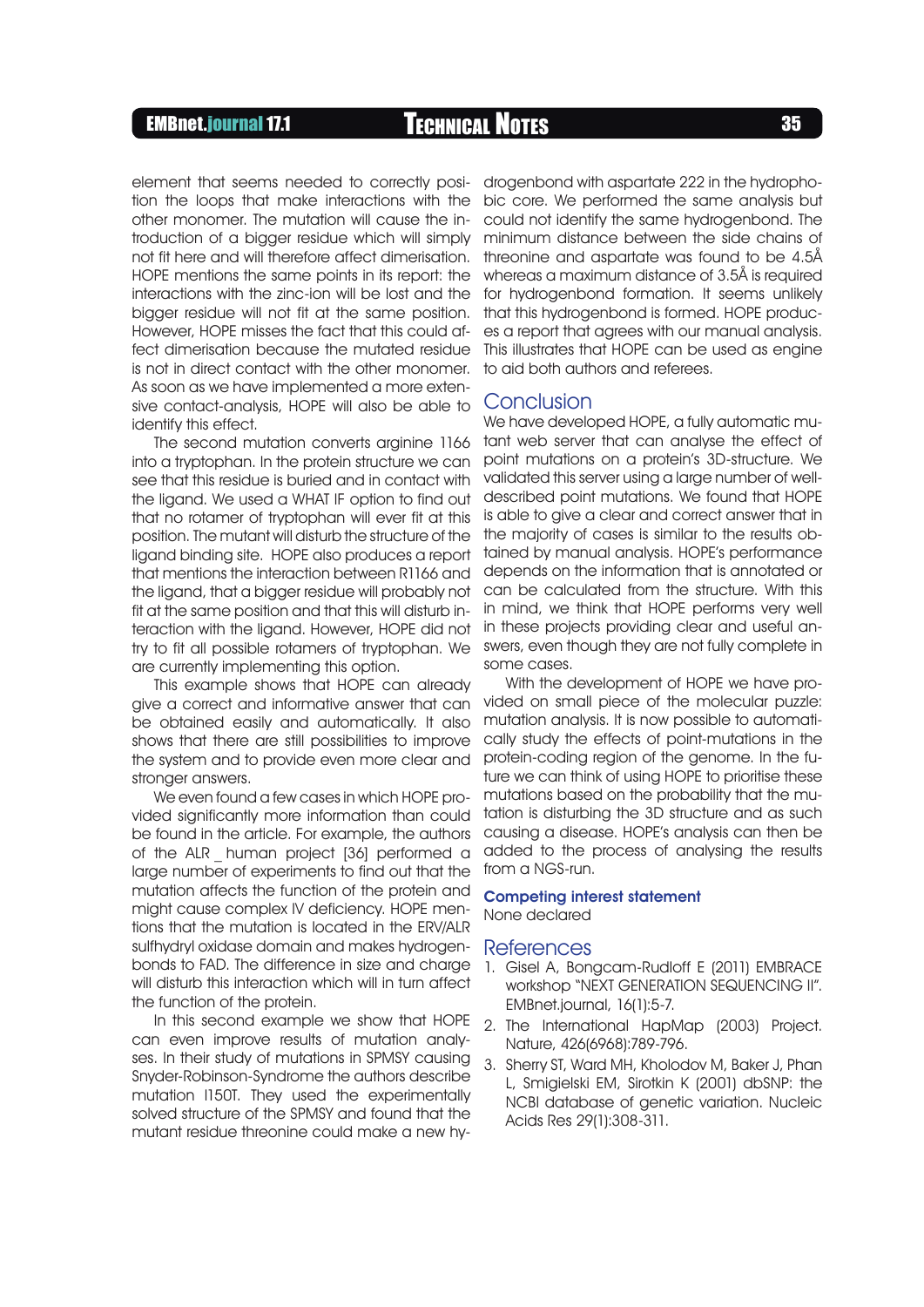## EMBnet.journal 17.1 Technical Notes <sup>35</sup>

element that seems needed to correctly position the loops that make interactions with the other monomer. The mutation will cause the introduction of a bigger residue which will simply not fit here and will therefore affect dimerisation. HOPE mentions the same points in its report: the interactions with the zinc-ion will be lost and the bigger residue will not fit at the same position. However, HOPE misses the fact that this could affect dimerisation because the mutated residue is not in direct contact with the other monomer. As soon as we have implemented a more extensive contact-analysis, HOPE will also be able to identify this effect.

The second mutation converts arginine 1166 into a tryptophan. In the protein structure we can see that this residue is buried and in contact with the ligand. We used a WHAT IF option to find out that no rotamer of tryptophan will ever fit at this position. The mutant will disturb the structure of the ligand binding site. HOPE also produces a report that mentions the interaction between R1166 and the ligand, that a bigger residue will probably not fit at the same position and that this will disturb interaction with the ligand. However, HOPE did not try to fit all possible rotamers of tryptophan. We are currently implementing this option.

This example shows that HOPE can already give a correct and informative answer that can be obtained easily and automatically. It also shows that there are still possibilities to improve the system and to provide even more clear and stronger answers.

We even found a few cases in which HOPE provided significantly more information than could be found in the article. For example, the authors of the ALR \_ human project [36] performed a large number of experiments to find out that the mutation affects the function of the protein and might cause complex IV deficiency. HOPE mentions that the mutation is located in the ERV/ALR sulfhydryl oxidase domain and makes hydrogenbonds to FAD. The difference in size and charge will disturb this interaction which will in turn affect the function of the protein.

In this second example we show that HOPE can even improve results of mutation analyses. In their study of mutations in SPMSY causing Snyder-Robinson-Syndrome the authors describe mutation I150T. They used the experimentally solved structure of the SPMSY and found that the mutant residue threonine could make a new hy-

drogenbond with aspartate 222 in the hydrophobic core. We performed the same analysis but could not identify the same hydrogenbond. The minimum distance between the side chains of threonine and aspartate was found to be 4.5Å whereas a maximum distance of 3.5Å is required for hydrogenbond formation. It seems unlikely that this hydrogenbond is formed. HOPE produces a report that agrees with our manual analysis. This illustrates that HOPE can be used as engine to aid both authors and referees.

### **Conclusion**

We have developed HOPE, a fully automatic mutant web server that can analyse the effect of point mutations on a protein's 3D-structure. We validated this server using a large number of welldescribed point mutations. We found that HOPE is able to give a clear and correct answer that in the majority of cases is similar to the results obtained by manual analysis. HOPE's performance depends on the information that is annotated or can be calculated from the structure. With this in mind, we think that HOPE performs very well in these projects providing clear and useful answers, even though they are not fully complete in some cases.

With the development of HOPE we have provided on small piece of the molecular puzzle: mutation analysis. It is now possible to automatically study the effects of point-mutations in the protein-coding region of the genome. In the future we can think of using HOPE to prioritise these mutations based on the probability that the mutation is disturbing the 3D structure and as such causing a disease. HOPE's analysis can then be added to the process of analysing the results from a NGS-run.

#### Competing interest statement None declared

#### References

- 1. Gisel A, Bongcam-Rudloff E (2011) EMBRACE workshop "NEXT GENERATION SEQUENCING II". EMBnet.journal, 16(1):5-7.
- 2. The International HapMap (2003) Project. Nature, 426(6968):789-796.
- 3. Sherry ST, Ward MH, Kholodov M, Baker J, Phan L, Smigielski EM, Sirotkin K (2001) dbSNP: the NCBI database of genetic variation. Nucleic Acids Res 29(1):308-311.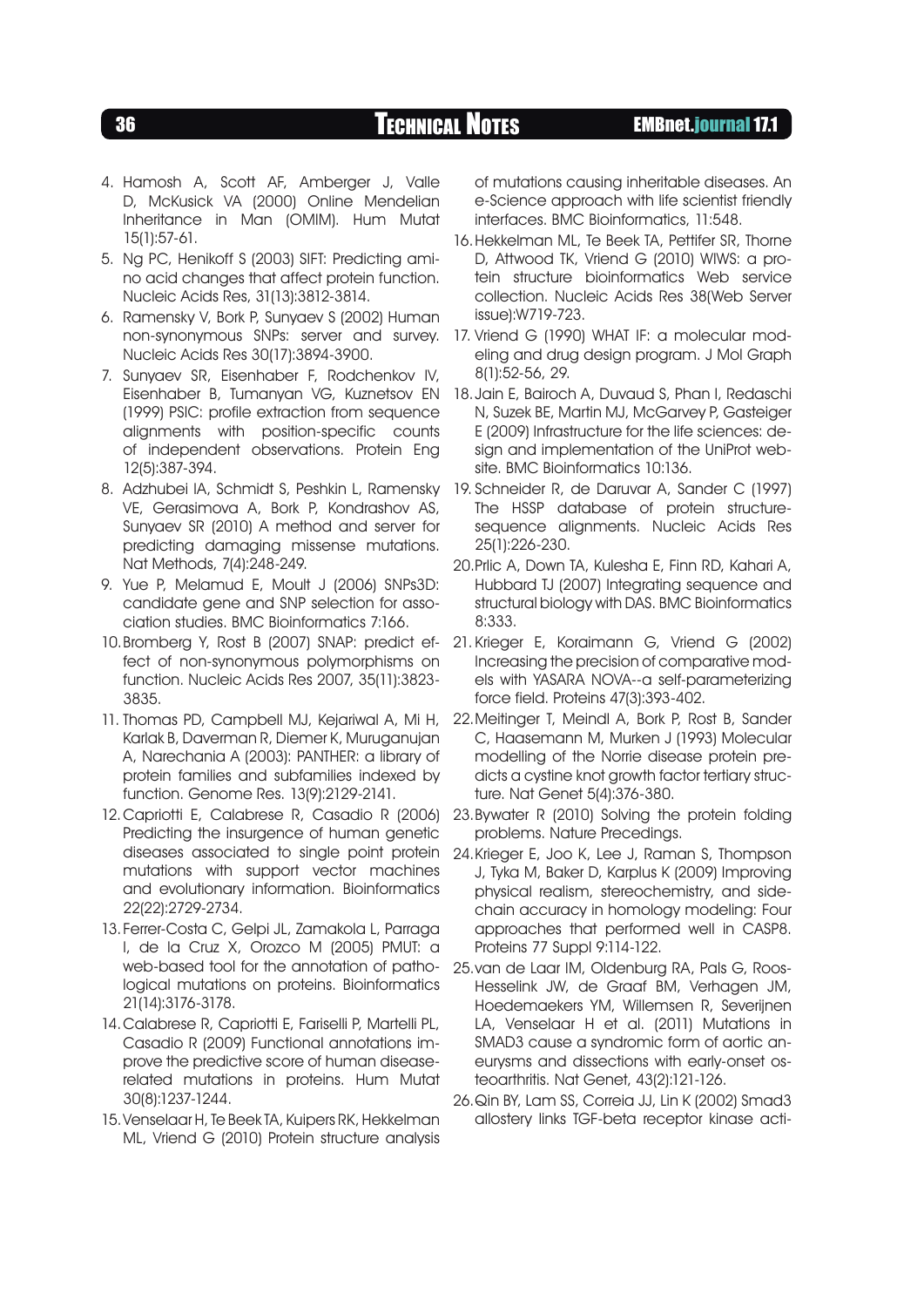- 4. Hamosh A, Scott AF, Amberger J, Valle D, McKusick VA (2000) Online Mendelian Inheritance in Man (OMIM). Hum Mutat 15(1):57-61.
- 5. Ng PC, Henikoff S (2003) SIFT: Predicting amino acid changes that affect protein function. Nucleic Acids Res, 31(13):3812-3814.
- 6. Ramensky V, Bork P, Sunyaev S (2002) Human non-synonymous SNPs: server and survey. Nucleic Acids Res 30(17):3894-3900.
- 7. Sunyaev SR, Eisenhaber F, Rodchenkov IV, Eisenhaber B, Tumanyan VG, Kuznetsov EN (1999) PSIC: profile extraction from sequence alignments with position-specific counts of independent observations. Protein Eng 12(5):387-394.
- 8. Adzhubei IA, Schmidt S, Peshkin L, Ramensky VE, Gerasimova A, Bork P, Kondrashov AS, Sunyaev SR (2010) A method and server for predicting damaging missense mutations. Nat Methods, 7(4):248-249.
- 9. Yue P, Melamud E, Moult J (2006) SNPs3D: candidate gene and SNP selection for association studies. BMC Bioinformatics 7:166.
- 10.Bromberg Y, Rost B (2007) SNAP: predict effect of non-synonymous polymorphisms on function. Nucleic Acids Res 2007, 35(11):3823- 3835.
- 11. Thomas PD, Campbell MJ, Kejariwal A, Mi H, Karlak B, Daverman R, Diemer K, Muruganujan A, Narechania A (2003): PANTHER: a library of protein families and subfamilies indexed by function. Genome Res. 13(9):2129-2141.
- 12.Capriotti E, Calabrese R, Casadio R (2006) Predicting the insurgence of human genetic diseases associated to single point protein mutations with support vector machines and evolutionary information. Bioinformatics 22(22):2729-2734.
- 13.Ferrer-Costa C, Gelpi JL, Zamakola L, Parraga I, de la Cruz X, Orozco M (2005) PMUT: a web-based tool for the annotation of pathological mutations on proteins. Bioinformatics 21(14):3176-3178.
- 14.Calabrese R, Capriotti E, Fariselli P, Martelli PL, Casadio R (2009) Functional annotations improve the predictive score of human diseaserelated mutations in proteins. Hum Mutat 30(8):1237-1244.
- 15.Venselaar H, Te Beek TA, Kuipers RK, Hekkelman ML, Vriend G (2010) Protein structure analysis

of mutations causing inheritable diseases. An e-Science approach with life scientist friendly interfaces. BMC Bioinformatics, 11:548.

- 16.Hekkelman ML, Te Beek TA, Pettifer SR, Thorne D, Attwood TK, Vriend G (2010) WIWS: a protein structure bioinformatics Web service collection. Nucleic Acids Res 38(Web Server issue):W719-723.
- 17. Vriend G (1990) WHAT IF: a molecular modeling and drug design program. J Mol Graph 8(1):52-56, 29.
- 18.Jain E, Bairoch A, Duvaud S, Phan I, Redaschi N, Suzek BE, Martin MJ, McGarvey P, Gasteiger E (2009) Infrastructure for the life sciences: design and implementation of the UniProt website. BMC Bioinformatics 10:136.
- 19. Schneider R, de Daruvar A, Sander C (1997) The HSSP database of protein structuresequence alignments. Nucleic Acids Res 25(1):226-230.
- 20.Prlic A, Down TA, Kulesha E, Finn RD, Kahari A, Hubbard TJ (2007) Integrating sequence and structural biology with DAS. BMC Bioinformatics 8:333.
- 21. Krieger E, Koraimann G, Vriend G (2002) Increasing the precision of comparative models with YASARA NOVA--a self-parameterizing force field. Proteins 47(3):393-402.
- 22.Meitinger T, Meindl A, Bork P, Rost B, Sander C, Haasemann M, Murken J (1993) Molecular modelling of the Norrie disease protein predicts a cystine knot growth factor tertiary structure. Nat Genet 5(4):376-380.
- 23.Bywater R (2010) Solving the protein folding problems. Nature Precedings.
- 24.Krieger E, Joo K, Lee J, Raman S, Thompson J, Tyka M, Baker D, Karplus K (2009) Improving physical realism, stereochemistry, and sidechain accuracy in homology modeling: Four approaches that performed well in CASP8. Proteins 77 Suppl 9:114-122.
- 25.van de Laar IM, Oldenburg RA, Pals G, Roos-Hesselink JW, de Graaf BM, Verhagen JM, Hoedemaekers YM, Willemsen R, Severijnen LA, Venselaar H et al. (2011) Mutations in SMAD3 cause a syndromic form of aortic aneurysms and dissections with early-onset osteoarthritis. Nat Genet, 43(2):121-126.
- 26.Qin BY, Lam SS, Correia JJ, Lin K (2002) Smad3 allostery links TGF-beta receptor kinase acti-